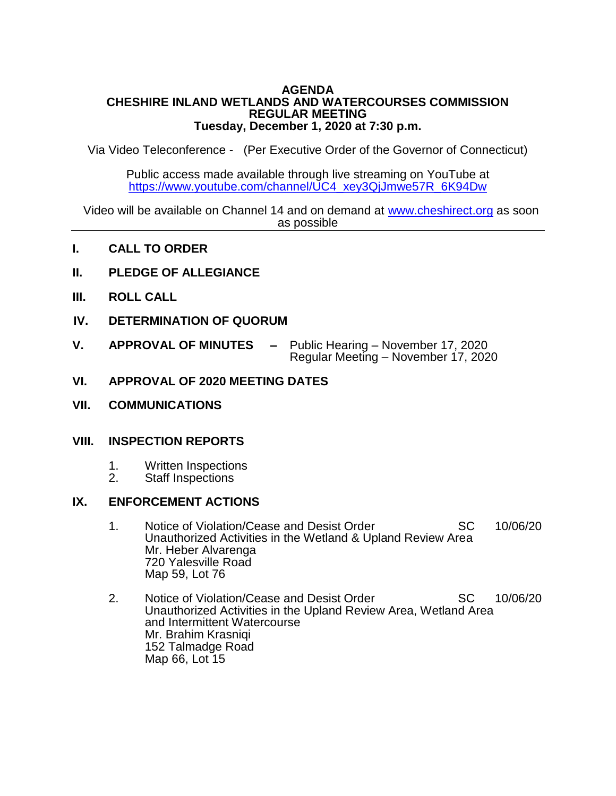### **AGENDA CHESHIRE INLAND WETLANDS AND WATERCOURSES COMMISSION REGULAR MEETING Tuesday, December 1, 2020 at 7:30 p.m.**

Via Video Teleconference - (Per Executive Order of the Governor of Connecticut)

Public access made available through live streaming on YouTube at [https://www.youtube.com/channel/UC4\\_xey3QjJmwe57R\\_6K94Dw](https://www.youtube.com/channel/UC4_xey3QjJmwe57R_6K94Dw)

Video will be available on Channel 14 and on demand at [www.cheshirect.org](http://www.cheshirect.org/) as soon as possible

- **I. CALL TO ORDER**
- **II. PLEDGE OF ALLEGIANCE**
- **III. ROLL CALL**
- **IV. DETERMINATION OF QUORUM**
- **V. APPROVAL OF MINUTES –** Public Hearing November 17, 2020 Regular Meeting – November 17, 2020
- **VI. APPROVAL OF 2020 MEETING DATES**
- **VII. COMMUNICATIONS**

#### **VIII. INSPECTION REPORTS**

- 1. Written Inspections<br>2. Staff Inspections
- Staff Inspections

## **IX. ENFORCEMENT ACTIONS**

- 1. Notice of Violation/Cease and Desist Order SC 10/06/20 Unauthorized Activities in the Wetland & Upland Review Area Mr. Heber Alvarenga 720 Yalesville Road Map 59, Lot 76
- 2. Notice of Violation/Cease and Desist Order SC 10/06/20 Unauthorized Activities in the Upland Review Area, Wetland Area and Intermittent Watercourse Mr. Brahim Krasniqi 152 Talmadge Road Map 66, Lot 15